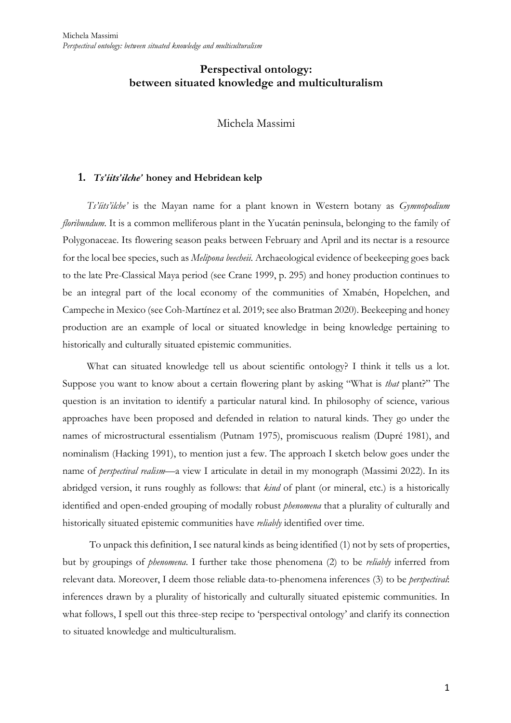# **Perspectival ontology: between situated knowledge and multiculturalism**

Michela Massimi

# **1.** *Ts'íits'ilche'* **honey and Hebridean kelp**

*Ts'íits'ilche'* is the Mayan name for a plant known in Western botany as *Gymnopodium floribundum*. It is a common melliferous plant in the Yucatán peninsula, belonging to the family of Polygonaceae. Its flowering season peaks between February and April and its nectar is a resource for the local bee species, such as *Melipona beecheii*. Archaeological evidence of beekeeping goes back to the late Pre-Classical Maya period (see Crane 1999, p. 295) and honey production continues to be an integral part of the local economy of the communities of Xmabén, Hopelchen, and Campeche in Mexico (see Coh-Martínez et al. 2019; see also Bratman 2020). Beekeeping and honey production are an example of local or situated knowledge in being knowledge pertaining to historically and culturally situated epistemic communities.

What can situated knowledge tell us about scientific ontology? I think it tells us a lot. Suppose you want to know about a certain flowering plant by asking "What is *that* plant?" The question is an invitation to identify a particular natural kind. In philosophy of science, various approaches have been proposed and defended in relation to natural kinds. They go under the names of microstructural essentialism (Putnam 1975), promiscuous realism (Dupré 1981), and nominalism (Hacking 1991), to mention just a few. The approach I sketch below goes under the name of *perspectival realism*—a view I articulate in detail in my monograph (Massimi 2022). In its abridged version, it runs roughly as follows: that *kind* of plant (or mineral, etc.) is a historically identified and open-ended grouping of modally robust *phenomena* that a plurality of culturally and historically situated epistemic communities have *reliably* identified over time.

To unpack this definition, I see natural kinds as being identified (1) not by sets of properties, but by groupings of *phenomena*. I further take those phenomena (2) to be *reliably* inferred from relevant data. Moreover, I deem those reliable data-to-phenomena inferences (3) to be *perspectival*: inferences drawn by a plurality of historically and culturally situated epistemic communities. In what follows, I spell out this three-step recipe to 'perspectival ontology' and clarify its connection to situated knowledge and multiculturalism.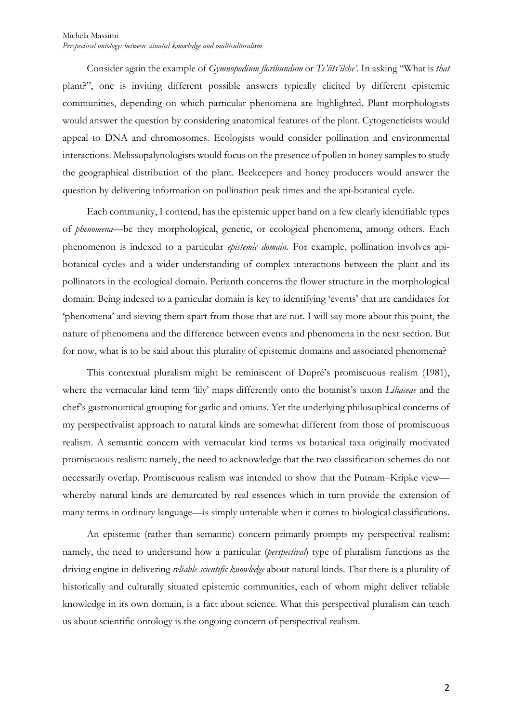Consider again the example of *Gymnopodium floribundum* or *Ts'íits'ilche'*. In asking "What is *that* plant?", one is inviting different possible answers typically elicited by different epistemic communities, depending on which particular phenomena are highlighted. Plant morphologists would answer the question by considering anatomical features of the plant. Cytogeneticists would appeal to DNA and chromosomes. Ecologists would consider pollination and environmental interactions. Melissopalynologists would focus on the presence of pollen in honey samples to study the geographical distribution of the plant. Beekeepers and honey producers would answer the question by delivering information on pollination peak times and the api-botanical cycle.

Each community, I contend, has the epistemic upper hand on a few clearly identifiable types of *phenomena*—be they morphological, genetic, or ecological phenomena, among others. Each phenomenon is indexed to a particular *epistemic domain*. For example, pollination involves apibotanical cycles and a wider understanding of complex interactions between the plant and its pollinators in the ecological domain. Perianth concerns the flower structure in the morphological domain. Being indexed to a particular domain is key to identifying 'events' that are candidates for 'phenomena' and sieving them apart from those that are not. I will say more about this point, the nature of phenomena and the difference between events and phenomena in the next section. But for now, what is to be said about this plurality of epistemic domains and associated phenomena?

This contextual pluralism might be reminiscent of Dupré's promiscuous realism (1981), where the vernacular kind term 'lily' maps differently onto the botanist's taxon *Liliaceae* and the chef's gastronomical grouping for garlic and onions. Yet the underlying philosophical concerns of my perspectivalist approach to natural kinds are somewhat different from those of promiscuous realism. A semantic concern with vernacular kind terms vs botanical taxa originally motivated promiscuous realism: namely, the need to acknowledge that the two classification schemes do not necessarily overlap. Promiscuous realism was intended to show that the Putnam–Kripke view whereby natural kinds are demarcated by real essences which in turn provide the extension of many terms in ordinary language—is simply untenable when it comes to biological classifications.

An epistemic (rather than semantic) concern primarily prompts my perspectival realism: namely, the need to understand how a particular (*perspectival*) type of pluralism functions as the driving engine in delivering *reliable scientific knowledge* about natural kinds. That there is a plurality of historically and culturally situated epistemic communities, each of whom might deliver reliable knowledge in its own domain, is a fact about science. What this perspectival pluralism can teach us about scientific ontology is the ongoing concern of perspectival realism.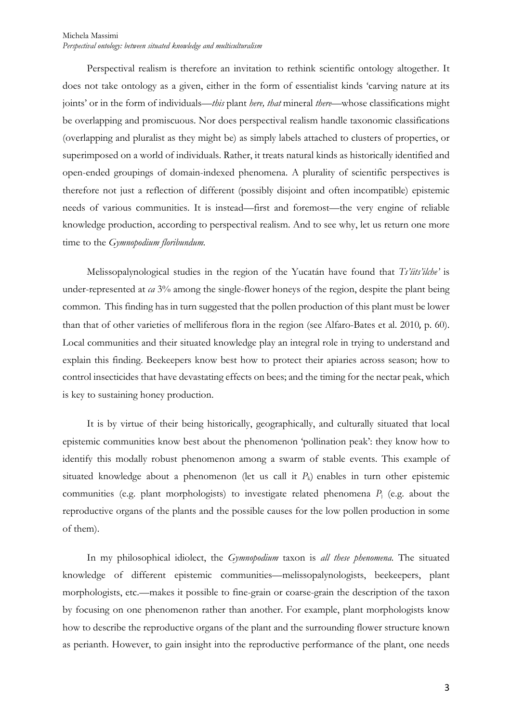#### Michela Massimi *Perspectival ontology: between situated knowledge and multiculturalism*

Perspectival realism is therefore an invitation to rethink scientific ontology altogether. It does not take ontology as a given, either in the form of essentialist kinds 'carving nature at its joints' or in the form of individuals—*this* plant *here, that* mineral *there—*whose classifications might be overlapping and promiscuous. Nor does perspectival realism handle taxonomic classifications (overlapping and pluralist as they might be) as simply labels attached to clusters of properties, or superimposed on a world of individuals. Rather, it treats natural kinds as historically identified and open-ended groupings of domain-indexed phenomena. A plurality of scientific perspectives is therefore not just a reflection of different (possibly disjoint and often incompatible) epistemic needs of various communities. It is instead—first and foremost—the very engine of reliable knowledge production, according to perspectival realism. And to see why, let us return one more time to the *Gymnopodium floribundum.*

Melissopalynological studies in the region of the Yucatán have found that *Ts'íits'ilche'* is under-represented at *ca* 3% among the single-flower honeys of the region, despite the plant being common. This finding has in turn suggested that the pollen production of this plant must be lower than that of other varieties of melliferous flora in the region (see Alfaro-Bates et al. 2010, p. 60). Local communities and their situated knowledge play an integral role in trying to understand and explain this finding. Beekeepers know best how to protect their apiaries across season; how to control insecticides that have devastating effects on bees; and the timing for the nectar peak, which is key to sustaining honey production.

It is by virtue of their being historically, geographically, and culturally situated that local epistemic communities know best about the phenomenon 'pollination peak': they know how to identify this modally robust phenomenon among a swarm of stable events. This example of situated knowledge about a phenomenon (let us call it *P*k) enables in turn other epistemic communities (e.g. plant morphologists) to investigate related phenomena *P<sub>i</sub>* (e.g. about the reproductive organs of the plants and the possible causes for the low pollen production in some of them).

In my philosophical idiolect, the *Gymnopodium* taxon is *all these phenomena.* The situated knowledge of different epistemic communities—melissopalynologists, beekeepers, plant morphologists, etc.—makes it possible to fine-grain or coarse-grain the description of the taxon by focusing on one phenomenon rather than another. For example, plant morphologists know how to describe the reproductive organs of the plant and the surrounding flower structure known as perianth. However, to gain insight into the reproductive performance of the plant, one needs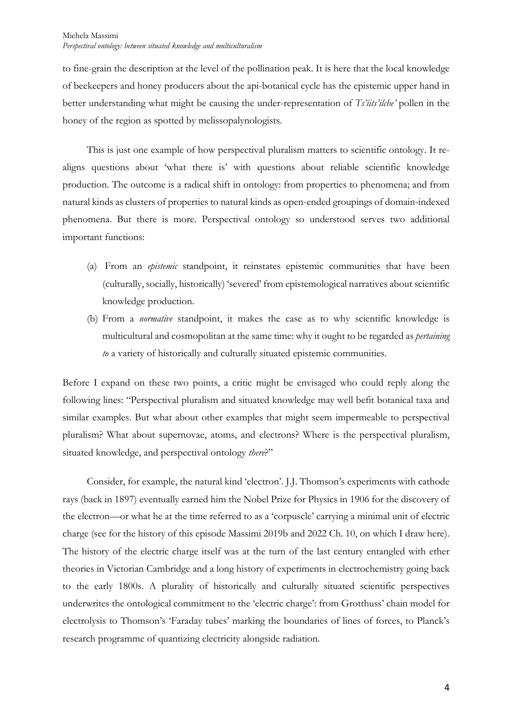to fine-grain the description at the level of the pollination peak. It is here that the local knowledge of beekeepers and honey producers about the api-botanical cycle has the epistemic upper hand in better understanding what might be causing the under-representation of *Ts'íits'ilche'* pollen in the honey of the region as spotted by melissopalynologists.

This is just one example of how perspectival pluralism matters to scientific ontology. It realigns questions about 'what there is' with questions about reliable scientific knowledge production. The outcome is a radical shift in ontology: from properties to phenomena; and from natural kinds as clusters of properties to natural kinds as open-ended groupings of domain-indexed phenomena. But there is more. Perspectival ontology so understood serves two additional important functions:

- (a) From an *epistemic* standpoint, it reinstates epistemic communities that have been (culturally, socially, historically) 'severed' from epistemological narratives about scientific knowledge production.
- (b) From a *normative* standpoint, it makes the case as to why scientific knowledge is multicultural and cosmopolitan at the same time: why it ought to be regarded as *pertaining to* a variety of historically and culturally situated epistemic communities.

Before I expand on these two points, a critic might be envisaged who could reply along the following lines: "Perspectival pluralism and situated knowledge may well befit botanical taxa and similar examples. But what about other examples that might seem impermeable to perspectival pluralism? What about supernovae, atoms, and electrons? Where is the perspectival pluralism, situated knowledge, and perspectival ontology *there*?"

Consider, for example, the natural kind 'electron'. J.J. Thomson's experiments with cathode rays (back in 1897) eventually earned him the Nobel Prize for Physics in 1906 for the discovery of the electron—or what he at the time referred to as a 'corpuscle' carrying a minimal unit of electric charge (see for the history of this episode Massimi 2019b and 2022 Ch. 10, on which I draw here). The history of the electric charge itself was at the turn of the last century entangled with ether theories in Victorian Cambridge and a long history of experiments in electrochemistry going back to the early 1800s. A plurality of historically and culturally situated scientific perspectives underwrites the ontological commitment to the 'electric charge': from Grotthuss' chain model for electrolysis to Thomson's 'Faraday tubes' marking the boundaries of lines of forces, to Planck's research programme of quantizing electricity alongside radiation.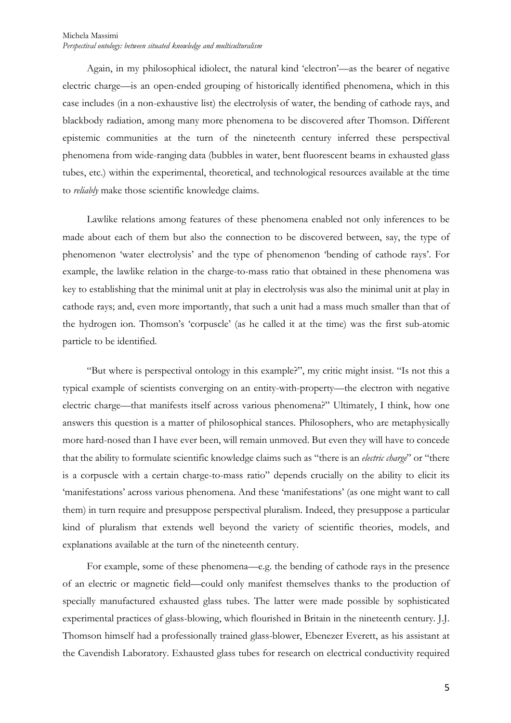Again, in my philosophical idiolect, the natural kind 'electron'—as the bearer of negative electric charge—is an open-ended grouping of historically identified phenomena, which in this case includes (in a non-exhaustive list) the electrolysis of water, the bending of cathode rays, and blackbody radiation, among many more phenomena to be discovered after Thomson. Different epistemic communities at the turn of the nineteenth century inferred these perspectival phenomena from wide-ranging data (bubbles in water, bent fluorescent beams in exhausted glass tubes, etc.) within the experimental, theoretical, and technological resources available at the time to *reliably* make those scientific knowledge claims.

Lawlike relations among features of these phenomena enabled not only inferences to be made about each of them but also the connection to be discovered between, say, the type of phenomenon 'water electrolysis' and the type of phenomenon 'bending of cathode rays'. For example, the lawlike relation in the charge-to-mass ratio that obtained in these phenomena was key to establishing that the minimal unit at play in electrolysis was also the minimal unit at play in cathode rays; and, even more importantly, that such a unit had a mass much smaller than that of the hydrogen ion. Thomson's 'corpuscle' (as he called it at the time) was the first sub-atomic particle to be identified.

"But where is perspectival ontology in this example?", my critic might insist. "Is not this a typical example of scientists converging on an entity-with-property—the electron with negative electric charge—that manifests itself across various phenomena?" Ultimately, I think, how one answers this question is a matter of philosophical stances. Philosophers, who are metaphysically more hard-nosed than I have ever been, will remain unmoved. But even they will have to concede that the ability to formulate scientific knowledge claims such as "there is an *electric charge*" or "there is a corpuscle with a certain charge-to-mass ratio" depends crucially on the ability to elicit its 'manifestations' across various phenomena. And these 'manifestations' (as one might want to call them) in turn require and presuppose perspectival pluralism. Indeed, they presuppose a particular kind of pluralism that extends well beyond the variety of scientific theories, models, and explanations available at the turn of the nineteenth century.

For example, some of these phenomena—e.g. the bending of cathode rays in the presence of an electric or magnetic field—could only manifest themselves thanks to the production of specially manufactured exhausted glass tubes. The latter were made possible by sophisticated experimental practices of glass-blowing, which flourished in Britain in the nineteenth century. J.J. Thomson himself had a professionally trained glass-blower, Ebenezer Everett, as his assistant at the Cavendish Laboratory. Exhausted glass tubes for research on electrical conductivity required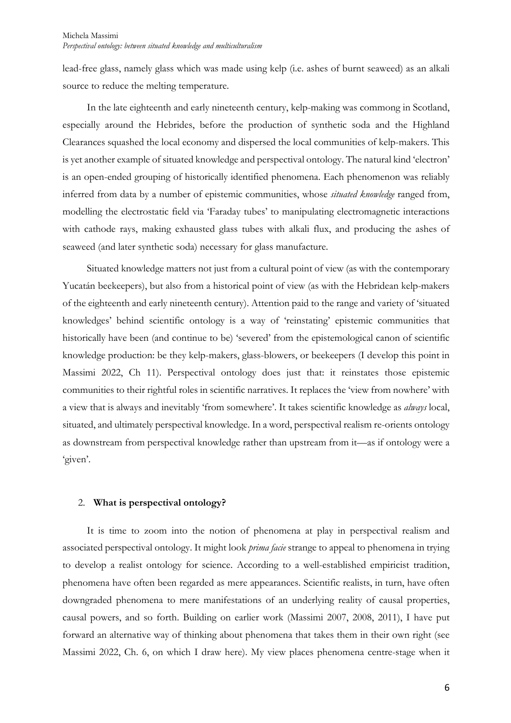lead-free glass, namely glass which was made using kelp (i.e. ashes of burnt seaweed) as an alkali source to reduce the melting temperature.

In the late eighteenth and early nineteenth century, kelp-making was commong in Scotland, especially around the Hebrides, before the production of synthetic soda and the Highland Clearances squashed the local economy and dispersed the local communities of kelp-makers. This is yet another example of situated knowledge and perspectival ontology. The natural kind 'electron' is an open-ended grouping of historically identified phenomena. Each phenomenon was reliably inferred from data by a number of epistemic communities, whose *situated knowledge* ranged from, modelling the electrostatic field via 'Faraday tubes' to manipulating electromagnetic interactions with cathode rays, making exhausted glass tubes with alkali flux, and producing the ashes of seaweed (and later synthetic soda) necessary for glass manufacture.

Situated knowledge matters not just from a cultural point of view (as with the contemporary Yucatán beekeepers), but also from a historical point of view (as with the Hebridean kelp-makers of the eighteenth and early nineteenth century). Attention paid to the range and variety of 'situated knowledges' behind scientific ontology is a way of 'reinstating' epistemic communities that historically have been (and continue to be) 'severed' from the epistemological canon of scientific knowledge production: be they kelp-makers, glass-blowers, or beekeepers (I develop this point in Massimi 2022, Ch 11). Perspectival ontology does just that: it reinstates those epistemic communities to their rightful roles in scientific narratives. It replaces the 'view from nowhere' with a view that is always and inevitably 'from somewhere'. It takes scientific knowledge as *always* local, situated, and ultimately perspectival knowledge. In a word, perspectival realism re-orients ontology as downstream from perspectival knowledge rather than upstream from it—as if ontology were a 'given'.

# 2. **What is perspectival ontology?**

It is time to zoom into the notion of phenomena at play in perspectival realism and associated perspectival ontology. It might look *prima facie* strange to appeal to phenomena in trying to develop a realist ontology for science. According to a well-established empiricist tradition, phenomena have often been regarded as mere appearances. Scientific realists, in turn, have often downgraded phenomena to mere manifestations of an underlying reality of causal properties, causal powers, and so forth. Building on earlier work (Massimi 2007, 2008, 2011), I have put forward an alternative way of thinking about phenomena that takes them in their own right (see Massimi 2022, Ch. 6, on which I draw here). My view places phenomena centre-stage when it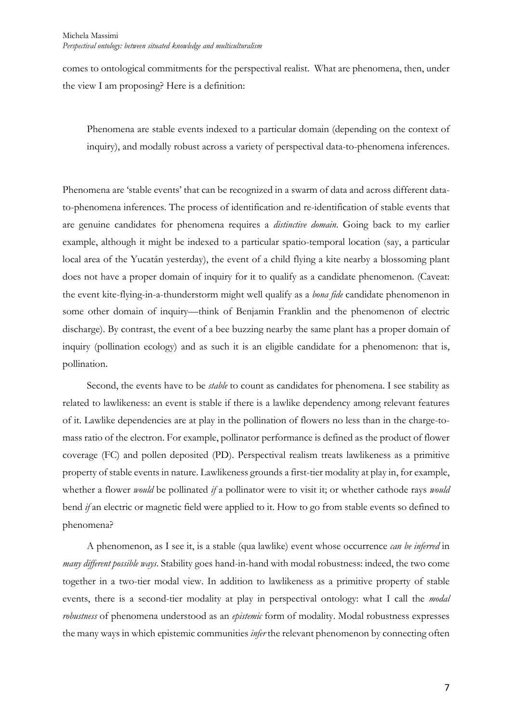comes to ontological commitments for the perspectival realist. What are phenomena, then, under the view I am proposing? Here is a definition:

Phenomena are stable events indexed to a particular domain (depending on the context of inquiry), and modally robust across a variety of perspectival data-to-phenomena inferences.

Phenomena are 'stable events' that can be recognized in a swarm of data and across different datato-phenomena inferences. The process of identification and re-identification of stable events that are genuine candidates for phenomena requires a *distinctive domain*. Going back to my earlier example, although it might be indexed to a particular spatio-temporal location (say, a particular local area of the Yucatán yesterday), the event of a child flying a kite nearby a blossoming plant does not have a proper domain of inquiry for it to qualify as a candidate phenomenon. (Caveat: the event kite-flying-in-a-thunderstorm might well qualify as a *bona fide* candidate phenomenon in some other domain of inquiry—think of Benjamin Franklin and the phenomenon of electric discharge). By contrast, the event of a bee buzzing nearby the same plant has a proper domain of inquiry (pollination ecology) and as such it is an eligible candidate for a phenomenon: that is, pollination.

Second, the events have to be *stable* to count as candidates for phenomena. I see stability as related to lawlikeness: an event is stable if there is a lawlike dependency among relevant features of it. Lawlike dependencies are at play in the pollination of flowers no less than in the charge-tomass ratio of the electron. For example, pollinator performance is defined as the product of flower coverage (FC) and pollen deposited (PD). Perspectival realism treats lawlikeness as a primitive property of stable events in nature. Lawlikeness grounds a first-tier modality at play in, for example, whether a flower *would* be pollinated *if* a pollinator were to visit it; or whether cathode rays *would* bend *if* an electric or magnetic field were applied to it. How to go from stable events so defined to phenomena?

A phenomenon, as I see it, is a stable (qua lawlike) event whose occurrence *can be inferred* in *many different possible ways*. Stability goes hand-in-hand with modal robustness: indeed, the two come together in a two-tier modal view. In addition to lawlikeness as a primitive property of stable events, there is a second-tier modality at play in perspectival ontology: what I call the *modal robustness* of phenomena understood as an *epistemic* form of modality. Modal robustness expresses the many ways in which epistemic communities *infer* the relevant phenomenon by connecting often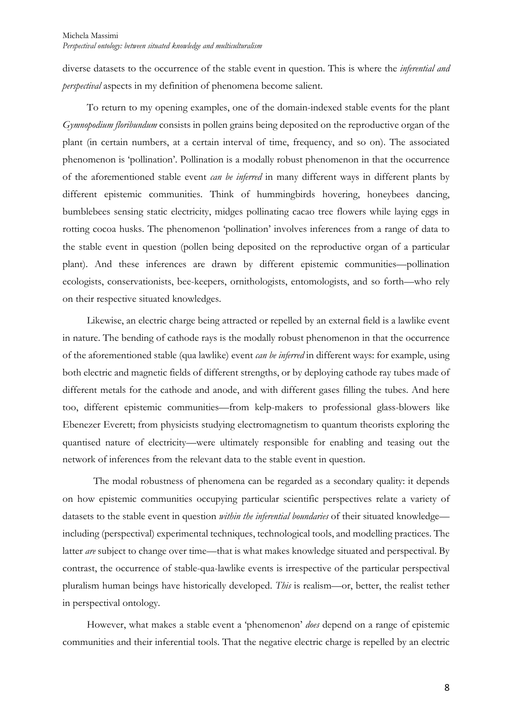diverse datasets to the occurrence of the stable event in question. This is where the *inferential and perspectival* aspects in my definition of phenomena become salient.

To return to my opening examples, one of the domain-indexed stable events for the plant *Gymnopodium floribundum* consists in pollen grains being deposited on the reproductive organ of the plant (in certain numbers, at a certain interval of time, frequency, and so on). The associated phenomenon is 'pollination'. Pollination is a modally robust phenomenon in that the occurrence of the aforementioned stable event *can be inferred* in many different ways in different plants by different epistemic communities. Think of hummingbirds hovering, honeybees dancing, bumblebees sensing static electricity, midges pollinating cacao tree flowers while laying eggs in rotting cocoa husks. The phenomenon 'pollination' involves inferences from a range of data to the stable event in question (pollen being deposited on the reproductive organ of a particular plant). And these inferences are drawn by different epistemic communities—pollination ecologists, conservationists, bee-keepers, ornithologists, entomologists, and so forth—who rely on their respective situated knowledges.

Likewise, an electric charge being attracted or repelled by an external field is a lawlike event in nature. The bending of cathode rays is the modally robust phenomenon in that the occurrence of the aforementioned stable (qua lawlike) event *can be inferred* in different ways: for example, using both electric and magnetic fields of different strengths, or by deploying cathode ray tubes made of different metals for the cathode and anode, and with different gases filling the tubes. And here too, different epistemic communities—from kelp-makers to professional glass-blowers like Ebenezer Everett; from physicists studying electromagnetism to quantum theorists exploring the quantised nature of electricity—were ultimately responsible for enabling and teasing out the network of inferences from the relevant data to the stable event in question.

The modal robustness of phenomena can be regarded as a secondary quality: it depends on how epistemic communities occupying particular scientific perspectives relate a variety of datasets to the stable event in question *within the inferential boundaries* of their situated knowledge including (perspectival) experimental techniques, technological tools, and modelling practices. The latter *are* subject to change over time—that is what makes knowledge situated and perspectival. By contrast, the occurrence of stable-qua-lawlike events is irrespective of the particular perspectival pluralism human beings have historically developed. *This* is realism—or, better, the realist tether in perspectival ontology.

However, what makes a stable event a 'phenomenon' *does* depend on a range of epistemic communities and their inferential tools. That the negative electric charge is repelled by an electric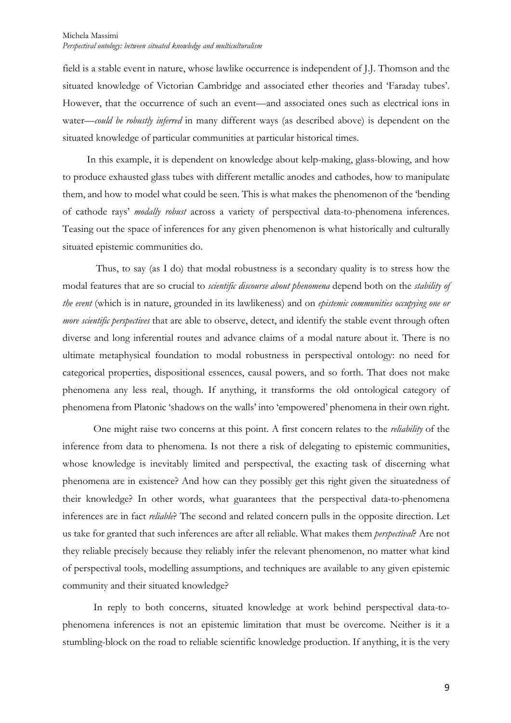field is a stable event in nature, whose lawlike occurrence is independent of J.J. Thomson and the situated knowledge of Victorian Cambridge and associated ether theories and 'Faraday tubes'. However, that the occurrence of such an event—and associated ones such as electrical ions in water—*could be robustly inferred* in many different ways (as described above) is dependent on the situated knowledge of particular communities at particular historical times.

In this example, it is dependent on knowledge about kelp-making, glass-blowing, and how to produce exhausted glass tubes with different metallic anodes and cathodes, how to manipulate them, and how to model what could be seen. This is what makes the phenomenon of the 'bending of cathode rays' *modally robust* across a variety of perspectival data-to-phenomena inferences. Teasing out the space of inferences for any given phenomenon is what historically and culturally situated epistemic communities do.

Thus, to say (as I do) that modal robustness is a secondary quality is to stress how the modal features that are so crucial to *scientific discourse about phenomena* depend both on the *stability of the event* (which is in nature, grounded in its lawlikeness) and on *epistemic communities occupying one or more scientific perspectives* that are able to observe, detect, and identify the stable event through often diverse and long inferential routes and advance claims of a modal nature about it. There is no ultimate metaphysical foundation to modal robustness in perspectival ontology: no need for categorical properties, dispositional essences, causal powers, and so forth. That does not make phenomena any less real, though. If anything, it transforms the old ontological category of phenomena from Platonic 'shadows on the walls' into 'empowered' phenomena in their own right.

One might raise two concerns at this point. A first concern relates to the *reliability* of the inference from data to phenomena. Is not there a risk of delegating to epistemic communities, whose knowledge is inevitably limited and perspectival, the exacting task of discerning what phenomena are in existence? And how can they possibly get this right given the situatedness of their knowledge? In other words, what guarantees that the perspectival data-to-phenomena inferences are in fact *reliable*? The second and related concern pulls in the opposite direction. Let us take for granted that such inferences are after all reliable. What makes them *perspectival*? Are not they reliable precisely because they reliably infer the relevant phenomenon, no matter what kind of perspectival tools, modelling assumptions, and techniques are available to any given epistemic community and their situated knowledge?

In reply to both concerns, situated knowledge at work behind perspectival data-tophenomena inferences is not an epistemic limitation that must be overcome. Neither is it a stumbling-block on the road to reliable scientific knowledge production. If anything, it is the very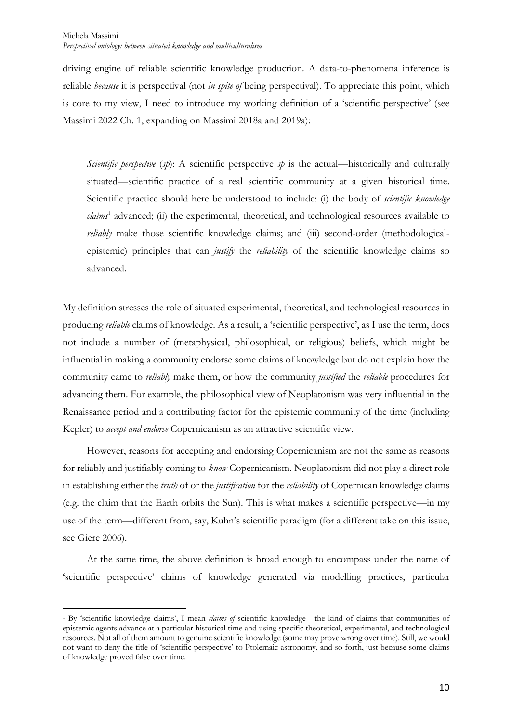driving engine of reliable scientific knowledge production. A data-to-phenomena inference is reliable *because* it is perspectival (not *in spite of* being perspectival). To appreciate this point, which is core to my view, I need to introduce my working definition of a 'scientific perspective' (see Massimi 2022 Ch. 1, expanding on Massimi 2018a and 2019a):

*Scientific perspective* (*sp*): A scientific perspective *sp* is the actual—historically and culturally situated—scientific practice of a real scientific community at a given historical time. Scientific practice should here be understood to include: (i) the body of *scientific knowledge claims*<sup>1</sup> advanced; (ii) the experimental, theoretical, and technological resources available to *reliably* make those scientific knowledge claims; and (iii) second-order (methodologicalepistemic) principles that can *justify* the *reliability* of the scientific knowledge claims so advanced.

My definition stresses the role of situated experimental, theoretical, and technological resources in producing *reliable* claims of knowledge. As a result, a 'scientific perspective', as I use the term, does not include a number of (metaphysical, philosophical, or religious) beliefs, which might be influential in making a community endorse some claims of knowledge but do not explain how the community came to *reliably* make them, or how the community *justified* the *reliable* procedures for advancing them. For example, the philosophical view of Neoplatonism was very influential in the Renaissance period and a contributing factor for the epistemic community of the time (including Kepler) to *accept and endorse* Copernicanism as an attractive scientific view.

However, reasons for accepting and endorsing Copernicanism are not the same as reasons for reliably and justifiably coming to *know* Copernicanism. Neoplatonism did not play a direct role in establishing either the *truth* of or the *justification* for the *reliability* of Copernican knowledge claims (e.g. the claim that the Earth orbits the Sun). This is what makes a scientific perspective—in my use of the term—different from, say, Kuhn's scientific paradigm (for a different take on this issue, see Giere 2006).

At the same time, the above definition is broad enough to encompass under the name of 'scientific perspective' claims of knowledge generated via modelling practices, particular

<sup>1</sup> By 'scientific knowledge claims', I mean *claims of* scientific knowledge—the kind of claims that communities of epistemic agents advance at a particular historical time and using specific theoretical, experimental, and technological resources. Not all of them amount to genuine scientific knowledge (some may prove wrong over time). Still, we would not want to deny the title of 'scientific perspective' to Ptolemaic astronomy, and so forth, just because some claims of knowledge proved false over time.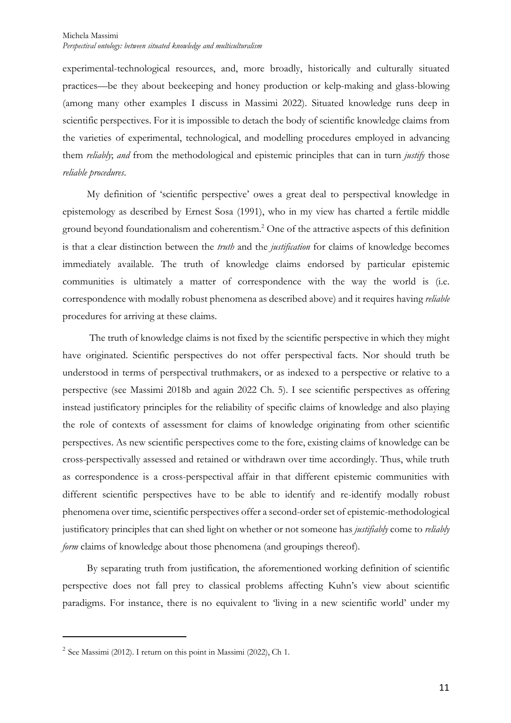experimental-technological resources, and, more broadly, historically and culturally situated practices—be they about beekeeping and honey production or kelp-making and glass-blowing (among many other examples I discuss in Massimi 2022). Situated knowledge runs deep in scientific perspectives. For it is impossible to detach the body of scientific knowledge claims from the varieties of experimental, technological, and modelling procedures employed in advancing them *reliably*; *and* from the methodological and epistemic principles that can in turn *justify* those *reliable procedures*.

My definition of 'scientific perspective' owes a great deal to perspectival knowledge in epistemology as described by Ernest Sosa (1991), who in my view has charted a fertile middle ground beyond foundationalism and coherentism.2 One of the attractive aspects of this definition is that a clear distinction between the *truth* and the *justification* for claims of knowledge becomes immediately available. The truth of knowledge claims endorsed by particular epistemic communities is ultimately a matter of correspondence with the way the world is (i.e. correspondence with modally robust phenomena as described above) and it requires having *reliable* procedures for arriving at these claims.

The truth of knowledge claims is not fixed by the scientific perspective in which they might have originated. Scientific perspectives do not offer perspectival facts. Nor should truth be understood in terms of perspectival truthmakers, or as indexed to a perspective or relative to a perspective (see Massimi 2018b and again 2022 Ch. 5). I see scientific perspectives as offering instead justificatory principles for the reliability of specific claims of knowledge and also playing the role of contexts of assessment for claims of knowledge originating from other scientific perspectives. As new scientific perspectives come to the fore, existing claims of knowledge can be cross-perspectivally assessed and retained or withdrawn over time accordingly. Thus, while truth as correspondence is a cross-perspectival affair in that different epistemic communities with different scientific perspectives have to be able to identify and re-identify modally robust phenomena over time, scientific perspectives offer a second-order set of epistemic-methodological justificatory principles that can shed light on whether or not someone has *justifiably* come to *reliably form* claims of knowledge about those phenomena (and groupings thereof).

By separating truth from justification, the aforementioned working definition of scientific perspective does not fall prey to classical problems affecting Kuhn's view about scientific paradigms. For instance, there is no equivalent to 'living in a new scientific world' under my

 $2$  See Massimi (2012). I return on this point in Massimi (2022), Ch 1.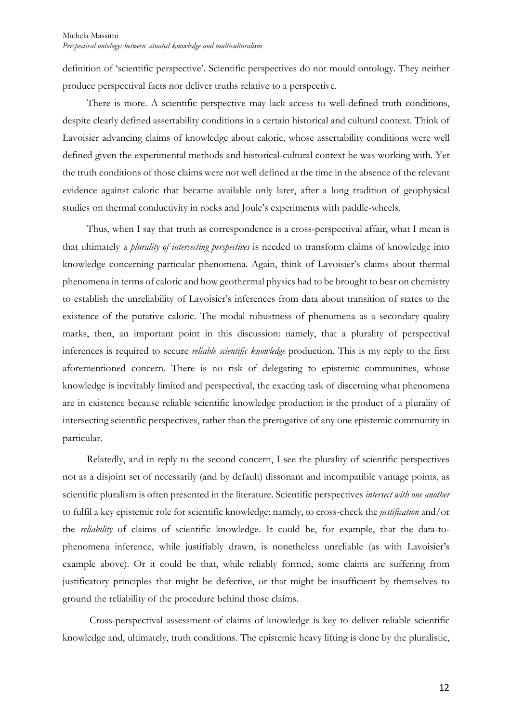definition of 'scientific perspective'. Scientific perspectives do not mould ontology. They neither produce perspectival facts nor deliver truths relative to a perspective.

There is more. A scientific perspective may lack access to well-defined truth conditions, despite clearly defined assertability conditions in a certain historical and cultural context. Think of Lavoisier advancing claims of knowledge about caloric, whose assertability conditions were well defined given the experimental methods and historical-cultural context he was working with. Yet the truth conditions of those claims were not well defined at the time in the absence of the relevant evidence against caloric that became available only later, after a long tradition of geophysical studies on thermal conductivity in rocks and Joule's experiments with paddle-wheels.

Thus, when I say that truth as correspondence is a cross-perspectival affair, what I mean is that ultimately a *plurality of intersecting perspectives* is needed to transform claims of knowledge into knowledge concerning particular phenomena. Again, think of Lavoisier's claims about thermal phenomena in terms of caloric and how geothermal physics had to be brought to bear on chemistry to establish the unreliability of Lavoisier's inferences from data about transition of states to the existence of the putative caloric. The modal robustness of phenomena as a secondary quality marks, then, an important point in this discussion: namely, that a plurality of perspectival inferences is required to secure *reliable scientific knowledge* production. This is my reply to the first aforementioned concern. There is no risk of delegating to epistemic communities, whose knowledge is inevitably limited and perspectival, the exacting task of discerning what phenomena are in existence because reliable scientific knowledge production is the product of a plurality of intersecting scientific perspectives, rather than the prerogative of any one epistemic community in particular.

Relatedly, and in reply to the second concern, I see the plurality of scientific perspectives not as a disjoint set of necessarily (and by default) dissonant and incompatible vantage points, as scientific pluralism is often presented in the literature. Scientific perspectives *intersect with one another* to fulfil a key epistemic role for scientific knowledge: namely, to cross-check the *justification* and/or the *reliability* of claims of scientific knowledge. It could be, for example, that the data-tophenomena inference, while justifiably drawn, is nonetheless unreliable (as with Lavoisier's example above). Or it could be that, while reliably formed, some claims are suffering from justificatory principles that might be defective, or that might be insufficient by themselves to ground the reliability of the procedure behind those claims.

Cross-perspectival assessment of claims of knowledge is key to deliver reliable scientific knowledge and, ultimately, truth conditions. The epistemic heavy lifting is done by the pluralistic,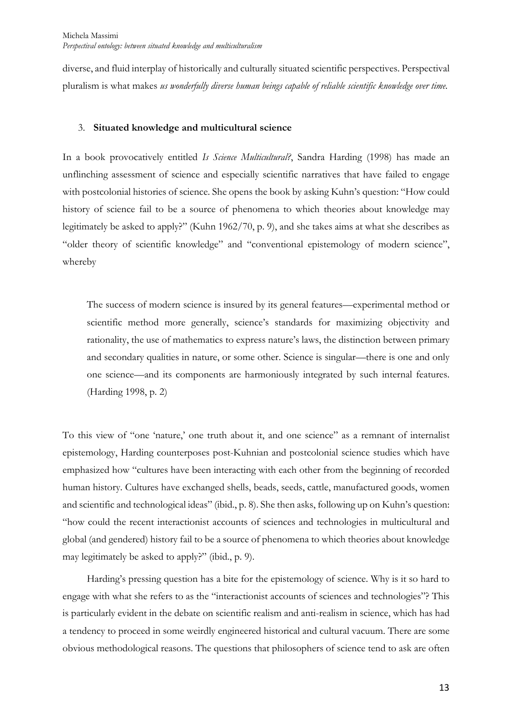diverse, and fluid interplay of historically and culturally situated scientific perspectives. Perspectival pluralism is what makes *us wonderfully diverse human beings capable of reliable scientific knowledge over time.*

#### 3. **Situated knowledge and multicultural science**

In a book provocatively entitled *Is Science Multicultural?*, Sandra Harding (1998) has made an unflinching assessment of science and especially scientific narratives that have failed to engage with postcolonial histories of science. She opens the book by asking Kuhn's question: "How could history of science fail to be a source of phenomena to which theories about knowledge may legitimately be asked to apply?" (Kuhn 1962/70, p. 9), and she takes aims at what she describes as "older theory of scientific knowledge" and "conventional epistemology of modern science", whereby

The success of modern science is insured by its general features—experimental method or scientific method more generally, science's standards for maximizing objectivity and rationality, the use of mathematics to express nature's laws, the distinction between primary and secondary qualities in nature, or some other. Science is singular—there is one and only one science—and its components are harmoniously integrated by such internal features. (Harding 1998, p. 2)

To this view of "one 'nature,' one truth about it, and one science" as a remnant of internalist epistemology, Harding counterposes post-Kuhnian and postcolonial science studies which have emphasized how "cultures have been interacting with each other from the beginning of recorded human history. Cultures have exchanged shells, beads, seeds, cattle, manufactured goods, women and scientific and technological ideas" (ibid., p. 8). She then asks, following up on Kuhn's question: "how could the recent interactionist accounts of sciences and technologies in multicultural and global (and gendered) history fail to be a source of phenomena to which theories about knowledge may legitimately be asked to apply?" (ibid., p. 9).

Harding's pressing question has a bite for the epistemology of science. Why is it so hard to engage with what she refers to as the "interactionist accounts of sciences and technologies"? This is particularly evident in the debate on scientific realism and anti-realism in science, which has had a tendency to proceed in some weirdly engineered historical and cultural vacuum. There are some obvious methodological reasons. The questions that philosophers of science tend to ask are often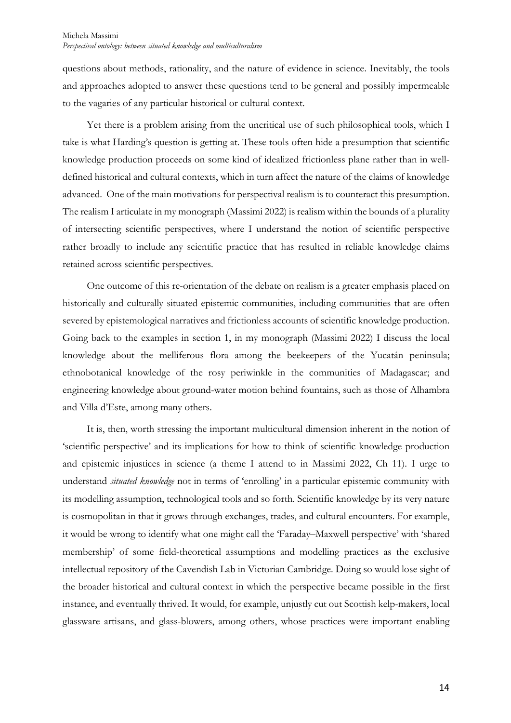questions about methods, rationality, and the nature of evidence in science. Inevitably, the tools and approaches adopted to answer these questions tend to be general and possibly impermeable to the vagaries of any particular historical or cultural context.

Yet there is a problem arising from the uncritical use of such philosophical tools, which I take is what Harding's question is getting at. These tools often hide a presumption that scientific knowledge production proceeds on some kind of idealized frictionless plane rather than in welldefined historical and cultural contexts, which in turn affect the nature of the claims of knowledge advanced. One of the main motivations for perspectival realism is to counteract this presumption. The realism I articulate in my monograph (Massimi 2022) is realism within the bounds of a plurality of intersecting scientific perspectives, where I understand the notion of scientific perspective rather broadly to include any scientific practice that has resulted in reliable knowledge claims retained across scientific perspectives.

One outcome of this re-orientation of the debate on realism is a greater emphasis placed on historically and culturally situated epistemic communities, including communities that are often severed by epistemological narratives and frictionless accounts of scientific knowledge production. Going back to the examples in section 1, in my monograph (Massimi 2022) I discuss the local knowledge about the melliferous flora among the beekeepers of the Yucatán peninsula; ethnobotanical knowledge of the rosy periwinkle in the communities of Madagascar; and engineering knowledge about ground-water motion behind fountains, such as those of Alhambra and Villa d'Este, among many others.

It is, then, worth stressing the important multicultural dimension inherent in the notion of 'scientific perspective' and its implications for how to think of scientific knowledge production and epistemic injustices in science (a theme I attend to in Massimi 2022, Ch 11). I urge to understand *situated knowledge* not in terms of 'enrolling' in a particular epistemic community with its modelling assumption, technological tools and so forth. Scientific knowledge by its very nature is cosmopolitan in that it grows through exchanges, trades, and cultural encounters. For example, it would be wrong to identify what one might call the 'Faraday–Maxwell perspective' with 'shared membership' of some field-theoretical assumptions and modelling practices as the exclusive intellectual repository of the Cavendish Lab in Victorian Cambridge. Doing so would lose sight of the broader historical and cultural context in which the perspective became possible in the first instance, and eventually thrived. It would, for example, unjustly cut out Scottish kelp-makers, local glassware artisans, and glass-blowers, among others, whose practices were important enabling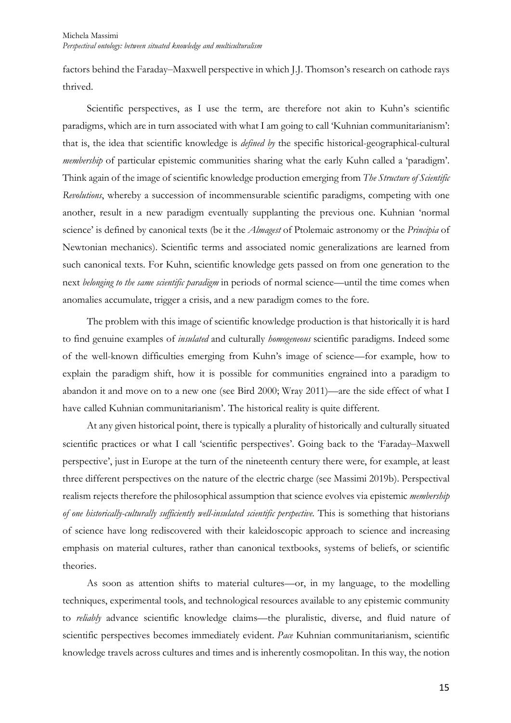factors behind the Faraday–Maxwell perspective in which J.J. Thomson's research on cathode rays thrived.

Scientific perspectives, as I use the term, are therefore not akin to Kuhn's scientific paradigms, which are in turn associated with what I am going to call 'Kuhnian communitarianism': that is, the idea that scientific knowledge is *defined by* the specific historical-geographical-cultural *membership* of particular epistemic communities sharing what the early Kuhn called a 'paradigm'. Think again of the image of scientific knowledge production emerging from *The Structure of Scientific Revolutions*, whereby a succession of incommensurable scientific paradigms, competing with one another, result in a new paradigm eventually supplanting the previous one. Kuhnian 'normal science' is defined by canonical texts (be it the *Almagest* of Ptolemaic astronomy or the *Principia* of Newtonian mechanics). Scientific terms and associated nomic generalizations are learned from such canonical texts. For Kuhn, scientific knowledge gets passed on from one generation to the next *belonging to the same scientific paradigm* in periods of normal science—until the time comes when anomalies accumulate, trigger a crisis, and a new paradigm comes to the fore.

The problem with this image of scientific knowledge production is that historically it is hard to find genuine examples of *insulated* and culturally *homogeneous* scientific paradigms. Indeed some of the well-known difficulties emerging from Kuhn's image of science—for example, how to explain the paradigm shift, how it is possible for communities engrained into a paradigm to abandon it and move on to a new one (see Bird 2000; Wray 2011)—are the side effect of what I have called Kuhnian communitarianism'. The historical reality is quite different.

At any given historical point, there is typically a plurality of historically and culturally situated scientific practices or what I call 'scientific perspectives'. Going back to the 'Faraday–Maxwell perspective', just in Europe at the turn of the nineteenth century there were, for example, at least three different perspectives on the nature of the electric charge (see Massimi 2019b). Perspectival realism rejects therefore the philosophical assumption that science evolves via epistemic *membership of one historically-culturally sufficiently well-insulated scientific perspective.* This is something that historians of science have long rediscovered with their kaleidoscopic approach to science and increasing emphasis on material cultures, rather than canonical textbooks, systems of beliefs, or scientific theories.

As soon as attention shifts to material cultures—or, in my language, to the modelling techniques, experimental tools, and technological resources available to any epistemic community to *reliably* advance scientific knowledge claims—the pluralistic, diverse, and fluid nature of scientific perspectives becomes immediately evident. *Pace* Kuhnian communitarianism, scientific knowledge travels across cultures and times and is inherently cosmopolitan. In this way, the notion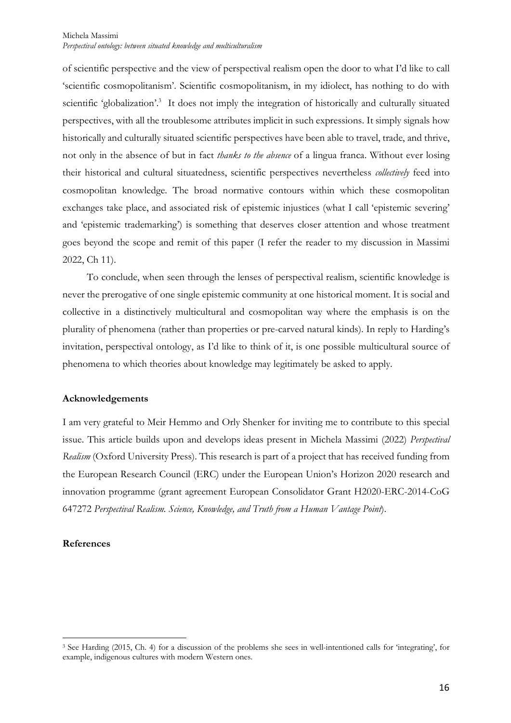of scientific perspective and the view of perspectival realism open the door to what I'd like to call 'scientific cosmopolitanism'. Scientific cosmopolitanism, in my idiolect, has nothing to do with scientific 'globalization'.<sup>3</sup> It does not imply the integration of historically and culturally situated perspectives, with all the troublesome attributes implicit in such expressions. It simply signals how historically and culturally situated scientific perspectives have been able to travel, trade, and thrive, not only in the absence of but in fact *thanks to the absence* of a lingua franca. Without ever losing their historical and cultural situatedness, scientific perspectives nevertheless *collectively* feed into cosmopolitan knowledge. The broad normative contours within which these cosmopolitan exchanges take place, and associated risk of epistemic injustices (what I call 'epistemic severing' and 'epistemic trademarking') is something that deserves closer attention and whose treatment goes beyond the scope and remit of this paper (I refer the reader to my discussion in Massimi 2022, Ch 11).

To conclude, when seen through the lenses of perspectival realism, scientific knowledge is never the prerogative of one single epistemic community at one historical moment. It is social and collective in a distinctively multicultural and cosmopolitan way where the emphasis is on the plurality of phenomena (rather than properties or pre-carved natural kinds). In reply to Harding's invitation, perspectival ontology, as I'd like to think of it, is one possible multicultural source of phenomena to which theories about knowledge may legitimately be asked to apply.

# **Acknowledgements**

I am very grateful to Meir Hemmo and Orly Shenker for inviting me to contribute to this special issue. This article builds upon and develops ideas present in Michela Massimi (2022) *Perspectival Realism* (Oxford University Press). This research is part of a project that has received funding from the European Research Council (ERC) under the European Union's Horizon 2020 research and innovation programme (grant agreement European Consolidator Grant H2020-ERC-2014-CoG 647272 *Perspectival Realism. Science, Knowledge, and Truth from a Human Vantage Point*).

#### **References**

<sup>3</sup> See Harding (2015, Ch. 4) for a discussion of the problems she sees in well-intentioned calls for 'integrating', for example, indigenous cultures with modern Western ones.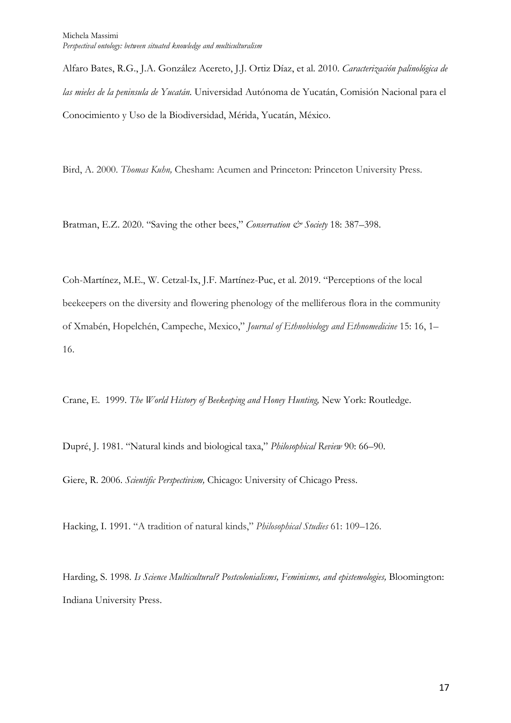Alfaro Bates, R.G., J.A. González Acereto, J.J. Ortiz Díaz, et al. 2010. *Caracterización palinológica de las mieles de la peninsula de Yucatán.* Universidad Autónoma de Yucatán, Comisión Nacional para el Conocimiento y Uso de la Biodiversidad, Mérida, Yucatán, México.

Bird, A. 2000. *Thomas Kuhn,* Chesham: Acumen and Princeton: Princeton University Press.

Bratman, E.Z. 2020. "Saving the other bees," *Conservation*  $\mathcal{C}^{\circ}$  Society 18: 387–398.

Coh-Martínez, M.E., W. Cetzal-Ix, J.F. Martínez-Puc, et al. 2019. "Perceptions of the local beekeepers on the diversity and flowering phenology of the melliferous flora in the community of Xmabén, Hopelchén, Campeche, Mexico," *Journal of Ethnobiology and Ethnomedicine* 15: 16, 1– 16.

Crane, E. 1999. *The World History of Beekeeping and Honey Hunting,* New York: Routledge.

Dupré, J. 1981. "Natural kinds and biological taxa," *Philosophical Review* 90: 66–90.

Giere, R. 2006. *Scientific Perspectivism,* Chicago: University of Chicago Press.

Hacking, I. 1991. "A tradition of natural kinds," *Philosophical Studies* 61: 109–126.

Harding, S. 1998. *Is Science Multicultural? Postcolonialisms, Feminisms, and epistemologies,* Bloomington: Indiana University Press.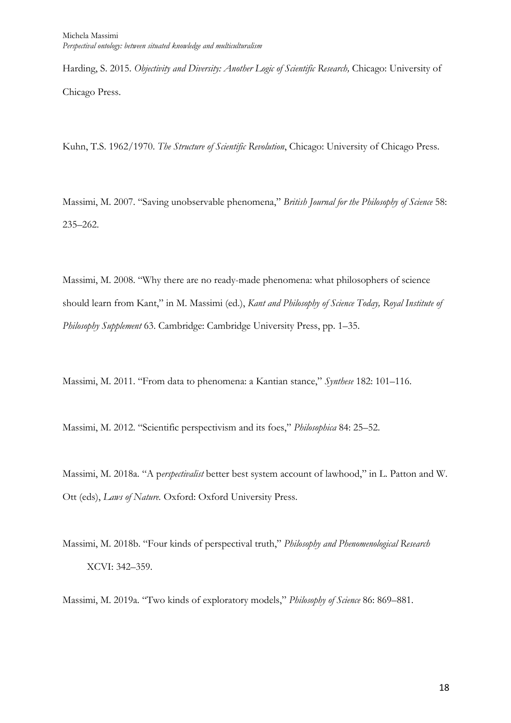Harding, S. 2015. *Objectivity and Diversity: Another Logic of Scientific Research,* Chicago: University of Chicago Press.

Kuhn, T.S. 1962/1970. *The Structure of Scientific Revolution*, Chicago: University of Chicago Press.

Massimi, M. 2007. "Saving unobservable phenomena," *British Journal for the Philosophy of Science* 58: 235–262.

Massimi, M. 2008. "Why there are no ready-made phenomena: what philosophers of science should learn from Kant," in M. Massimi (ed.), *Kant and Philosophy of Science Today, Royal Institute of Philosophy Supplement* 63. Cambridge: Cambridge University Press, pp. 1–35.

Massimi, M. 2011. "From data to phenomena: a Kantian stance," *Synthese* 182: 101–116.

Massimi, M. 2012. "Scientific perspectivism and its foes," *Philosophica* 84: 25–52.

Massimi, M. 2018a. "A p*erspectivalist* better best system account of lawhood," in L. Patton and W. Ott (eds), *Laws of Nature.* Oxford: Oxford University Press.

Massimi, M. 2018b. "Four kinds of perspectival truth," *Philosophy and Phenomenological Research*  XCVI: 342–359.

Massimi, M. 2019a. "Two kinds of exploratory models," *Philosophy of Science* 86: 869–881.